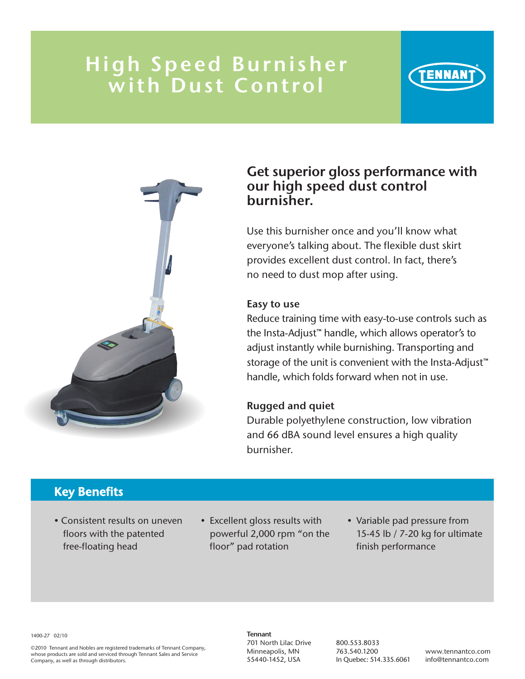# High Speed Burnisher with Dust Control



### Get superior gloss performance with our high speed dust control burnisher.

ENNAR

Use this burnisher once and you'll know what everyone's talking about. The flexible dust skirt provides excellent dust control. In fact, there's no need to dust mop after using.

#### Easy to use

Reduce training time with easy-to-use controls such as the Insta-Adjust™ handle, which allows operator's to adjust instantly while burnishing. Transporting and storage of the unit is convenient with the Insta-Adjust™ handle, which folds forward when not in use.

### Rugged and quiet

Durable polyethylene construction, low vibration and 66 dBA sound level ensures a high quality burnisher.

## Key Benefits

- Consistent results on uneven floors with the patented free-floating head
- Excellent gloss results with powerful 2,000 rpm "on the floor" pad rotation
- Variable pad pressure from 15-45 lb / 7-20 kg for ultimate finish performance

#### 1400-27 02/10

©2010 Tennant and Nobles are registered trademarks of Tennant Company, whose products are sold and serviced through Tennant Sales and Service Company, as well as through distributors.

**Tennant** 701 North Lilac Drive Minneapolis, MN 55440-1452, USA

800.553.8033 763.540.1200 In Quebec: 514.335.6061

www.tennantco.com info@tennantco.com